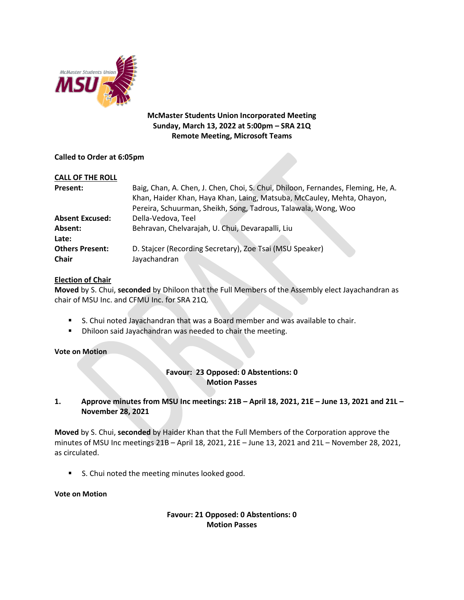

## **McMaster Students Union Incorporated Meeting Sunday, March 13, 2022 at 5:00pm – SRA 21Q Remote Meeting, Microsoft Teams**

## **Called to Order at 6:05pm**

| <b>CALL OF THE ROLL</b>                |                                                                                                                                                            |
|----------------------------------------|------------------------------------------------------------------------------------------------------------------------------------------------------------|
| Present:                               | Baig, Chan, A. Chen, J. Chen, Choi, S. Chui, Dhiloon, Fernandes, Fleming, He, A.<br>Khan, Haider Khan, Haya Khan, Laing, Matsuba, McCauley, Mehta, Ohayon, |
|                                        | Pereira, Schuurman, Sheikh, Song, Tadrous, Talawala, Wong, Woo                                                                                             |
| <b>Absent Excused:</b>                 | Della-Vedova, Teel                                                                                                                                         |
| Absent:                                | Behravan, Chelvarajah, U. Chui, Devarapalli, Liu                                                                                                           |
| Late:                                  |                                                                                                                                                            |
| <b>Others Present:</b><br><b>Chair</b> | D. Stajcer (Recording Secretary), Zoe Tsai (MSU Speaker)<br>Jayachandran                                                                                   |

## **Election of Chair**

**Moved** by S. Chui, **seconded** by Dhiloon that the Full Members of the Assembly elect Jayachandran as chair of MSU Inc. and CFMU Inc. for SRA 21Q.

- S. Chui noted Jayachandran that was a Board member and was available to chair.
- **Dhiloon said Jayachandran was needed to chair the meeting.**

### **Vote on Motion**

# **Favour: 23 Opposed: 0 Abstentions: 0 Motion Passes**

**1. Approve minutes from MSU Inc meetings: 21B – April 18, 2021, 21E – June 13, 2021 and 21L – November 28, 2021**

**Moved** by S. Chui, **seconded** by Haider Khan that the Full Members of the Corporation approve the minutes of MSU Inc meetings 21B – April 18, 2021, 21E – June 13, 2021 and 21L – November 28, 2021, as circulated.

**S.** Chui noted the meeting minutes looked good.

### **Vote on Motion**

### **Favour: 21 Opposed: 0 Abstentions: 0 Motion Passes**